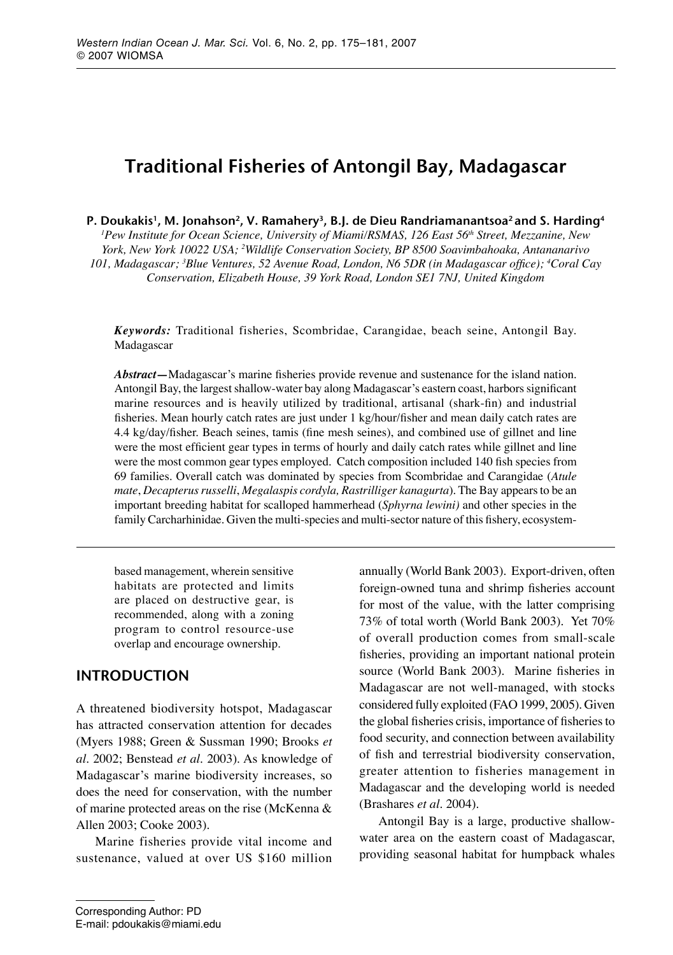# Traditional Fisheries of Antongil Bay, Madagascar

P. Doukakis<sup>1</sup>, M. Jonahson<sup>2</sup>, V. Ramahery<sup>3</sup>, B.J. de Dieu Randriamanantsoa<sup>2</sup> and S. Harding<sup>4</sup>

*1 Pew Institute for Ocean Science, University of Miami/RSMAS, 126 East 56th Street, Mezzanine, New York, New York 10022 USA; 2 Wildlife Conservation Society, BP 8500 Soavimbahoaka, Antananarivo 101, Madagascar; 3 Blue Ventures, 52 Avenue Road, London, N6 5DR (in Madagascar office); <sup>4</sup> Coral Cay Conservation, Elizabeth House, 39 York Road, London SE1 7NJ, United Kingdom*

*Keywords:* Traditional fisheries, Scombridae, Carangidae, beach seine, Antongil Bay. Madagascar

*Abstract—*Madagascar's marine fisheries provide revenue and sustenance for the island nation. Antongil Bay, the largest shallow-water bay along Madagascar's eastern coast, harbors significant marine resources and is heavily utilized by traditional, artisanal (shark-fin) and industrial fisheries. Mean hourly catch rates are just under 1 kg/hour/fisher and mean daily catch rates are 4.4 kg/day/fisher. Beach seines, tamis (fine mesh seines), and combined use of gillnet and line were the most efficient gear types in terms of hourly and daily catch rates while gillnet and line were the most common gear types employed. Catch composition included 140 fish species from 69 families. Overall catch was dominated by species from Scombridae and Carangidae (*Atule mate*, *Decapterus russelli*, *Megalaspis cordyla, Rastrilliger kanagurta*). The Bay appears to be an important breeding habitat for scalloped hammerhead (*Sphyrna lewini)* and other species in the family Carcharhinidae. Given the multi-species and multi-sector nature of this fishery, ecosystem-

based management, wherein sensitive habitats are protected and limits are placed on destructive gear, is recommended, along with a zoning program to control resource-use overlap and encourage ownership.

### **INTRODUCTION**

A threatened biodiversity hotspot, Madagascar has attracted conservation attention for decades (Myers 1988; Green & Sussman 1990; Brooks *et al*. 2002; Benstead *et al*. 2003). As knowledge of Madagascar's marine biodiversity increases, so does the need for conservation, with the number of marine protected areas on the rise (McKenna & Allen 2003; Cooke 2003).

Marine fisheries provide vital income and sustenance, valued at over US \$160 million

annually (World Bank 2003). Export-driven, often foreign-owned tuna and shrimp fisheries account for most of the value, with the latter comprising 73% of total worth (World Bank 2003). Yet 70% of overall production comes from small-scale fisheries, providing an important national protein source (World Bank 2003). Marine fisheries in Madagascar are not well-managed, with stocks considered fully exploited (FAO 1999, 2005). Given the global fisheries crisis, importance of fisheries to food security, and connection between availability of fish and terrestrial biodiversity conservation, greater attention to fisheries management in Madagascar and the developing world is needed (Brashares *et al*. 2004).

Antongil Bay is a large, productive shallowwater area on the eastern coast of Madagascar, providing seasonal habitat for humpback whales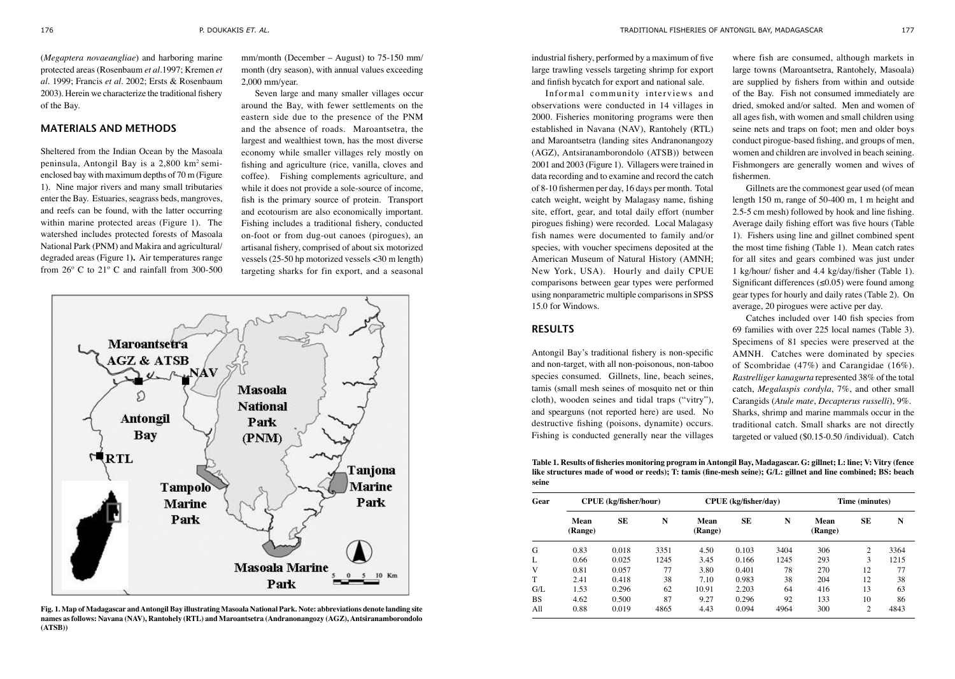(*Megaptera novaeangliae*) and harboring marine protected areas (Rosenbaum *et al*.1997; Kremen *et al*. 1999; Francis *et al*. 2002; Ersts & Rosenbaum 2003). Herein we characterize the traditional fishery of the Bay.

### Materials and Methods

Sheltered from the Indian Ocean by the Masoala peninsula, Antongil Bay is a 2,800 km2 semienclosed bay with maximum depths of 70 m (Figure 1). Nine major rivers and many small tributaries enter the Bay. Estuaries, seagrass beds, mangroves, and reefs can be found, with the latter occurring within marine protected areas (Figure 1). The watershed includes protected forests of Masoala National Park (PNM) and Makira and agricultural/ degraded areas (Figure 1**).** Air temperatures range from 26º C to 21º C and rainfall from 300-500

mm/month (December – August) to 75-150 mm/ month (dry season), with annual values exceeding 2,000 mm/year.

Seven large and many smaller villages occur around the Bay, with fewer settlements on the eastern side due to the presence of the PNM and the absence of roads. Maroantsetra, the largest and wealthiest town, has the most diverse economy while smaller villages rely mostly on fishing and agriculture (rice, vanilla, cloves and coffee). Fishing complements agriculture, and while it does not provide a sole-source of income, fish is the primary source of protein. Transport and ecotourism are also economically important. Fishing includes a traditional fishery, conducted on-foot or from dug-out canoes (pirogues), an artisanal fishery, comprised of about six motorized vessels (25-50 hp motorized vessels <30 m length) targeting sharks for fin export, and a seasonal



**Fig. 1. Map of Madagascar and Antongil Bay illustrating Masoala National Park. Note: abbreviations denote landing site names as follows: Navana (NAV), Rantohely (RTL) and Maroantsetra (Andranonangozy (AGZ), Antsiranamborondolo (ATSB))**

industrial fishery, performed by a maximum of five large trawling vessels targeting shrimp for export and finfish bycatch for export and national sale.

Informal community interviews and observations were conducted in 14 villages in 2000. Fisheries monitoring programs were then established in Navana (NAV), Rantohely (RTL) and Maroantsetra (landing sites Andranonangozy (AGZ), Antsiranamborondolo (ATSB)) between 2001 and 2003 (Figure 1). Villagers were trained in data recording and to examine and record the catch of 8-10 fishermen per day, 16 days per month. Total catch weight, weight by Malagasy name, fishing site, effort, gear, and total daily effort (number pirogues fishing) were recorded. Local Malagasy fish names were documented to family and/or species, with voucher specimens deposited at the American Museum of Natural History (AMNH; New York, USA). Hourly and daily CPUE comparisons between gear types were performed using nonparametric multiple comparisons in SPSS 15.0 for Windows.

## **RESULTS**

Antongil Bay's traditional fishery is non-specific and non-target, with all non-poisonous, non-taboo species consumed. Gillnets, line, beach seines, tamis (small mesh seines of mosquito net or thin cloth), wooden seines and tidal traps ("vitry"), and spearguns (not reported here) are used. No destructive fishing (poisons, dynamite) occurs. Fishing is conducted generally near the villages

where fish are consumed, although markets in large towns (Maroantsetra, Rantohely, Masoala) are supplied by fishers from within and outside of the Bay. Fish not consumed immediately are dried, smoked and/or salted. Men and women of all ages fish, with women and small children using seine nets and traps on foot; men and older boys conduct pirogue-based fishing, and groups of men, women and children are involved in beach seining. Fishmongers are generally women and wives of fishermen.

Gillnets are the commonest gear used (of mean length 150 m, range of 50-400 m, 1 m height and 2.5-5 cm mesh) followed by hook and line fishing. Average daily fishing effort was five hours (Table 1). Fishers using line and gillnet combined spent the most time fishing (Table 1). Mean catch rates for all sites and gears combined was just under 1 kg/hour/ fisher and 4.4 kg/day/fisher (Table 1). Significant differences  $(\leq 0.05)$  were found among gear types for hourly and daily rates (Table 2). On average, 20 pirogues were active per day.

Catches included over 140 fish species from 69 families with over 225 local names (Table 3). Specimens of 81 species were preserved at the AMNH. Catches were dominated by species of Scombridae (47%) and Carangidae (16%). *Rastrelliger kanagurta* represented 38% of the total catch, *Megalaspis cordyla*, 7%, and other small Carangids (*Atule mate*, *Decapterus russelli*), 9%. Sharks, shrimp and marine mammals occur in the traditional catch. Small sharks are not directly targeted or valued (\$0.15-0.50 /individual). Catch

**Table 1. Results of fisheries monitoring program in Antongil Bay, Madagascar. G: gillnet; L: line; V: Vitry (fence like structures made of wood or reeds); T: tamis (fine-mesh seine); G/L: gillnet and line combined; BS: beach seine**

| Gear      | <b>CPUE</b> (kg/fisher/hour) |       |      | CPUE (kg/fisher/day) |       |      | Time (minutes)  |                |      |
|-----------|------------------------------|-------|------|----------------------|-------|------|-----------------|----------------|------|
|           | Mean<br>(Range)              | SЕ    | N    | Mean<br>(Range)      | SE    | N    | Mean<br>(Range) | SE             | N    |
| G         | 0.83                         | 0.018 | 3351 | 4.50                 | 0.103 | 3404 | 306             | $\overline{c}$ | 3364 |
| L         | 0.66                         | 0.025 | 1245 | 3.45                 | 0.166 | 1245 | 293             | 3              | 1215 |
| V         | 0.81                         | 0.057 | 77   | 3.80                 | 0.401 | 78   | 270             | 12             | 77   |
| T         | 2.41                         | 0.418 | 38   | 7.10                 | 0.983 | 38   | 204             | 12             | 38   |
| G/L       | 1.53                         | 0.296 | 62   | 10.91                | 2.203 | 64   | 416             | 13             | 63   |
| <b>BS</b> | 4.62                         | 0.500 | 87   | 9.27                 | 0.296 | 92   | 133             | 10             | 86   |
| All       | 0.88                         | 0.019 | 4865 | 4.43                 | 0.094 | 4964 | 300             | $\overline{c}$ | 4843 |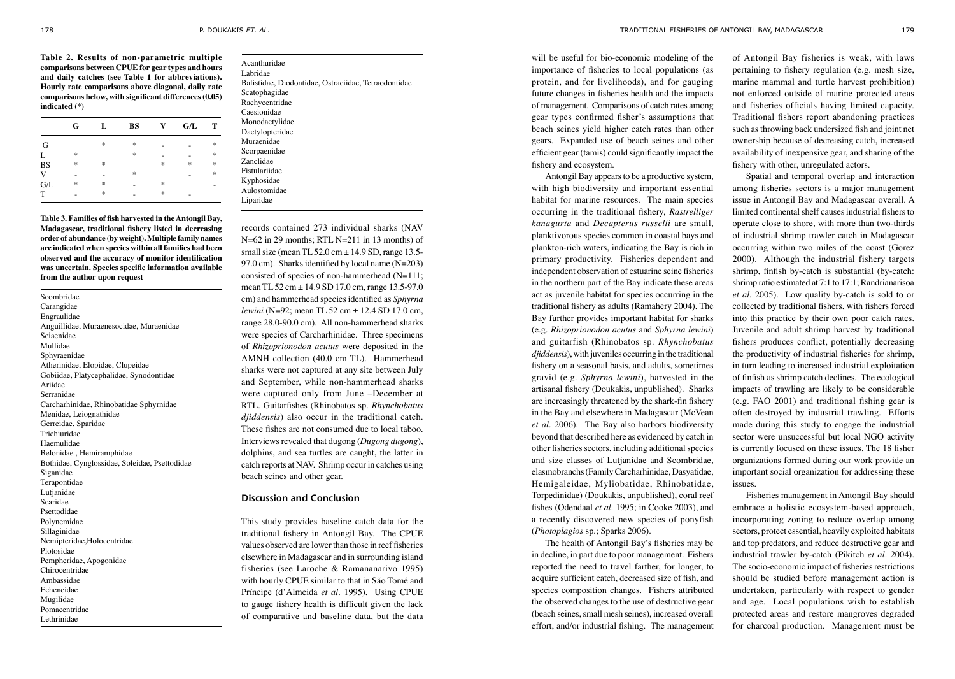**Table 2. Results of non-parametric multiple comparisons between CPUE for gear types and hours and daily catches (see Table 1 for abbreviations). Hourly rate comparisons above diagonal, daily rate comparisons below, with significant differences (0.05) indicated (\*)**

|           | G | L | <b>BS</b> | v | G/L | т   |
|-----------|---|---|-----------|---|-----|-----|
| G         |   | * | $*$       |   |     | $*$ |
| L         | ∗ |   | *         | - |     | *   |
| <b>BS</b> | ∗ | * |           | * | *   | *   |
| V         |   |   | $*$       |   |     | *   |
| G/L       | ∗ | * |           | * |     |     |
| т         |   | * |           | * |     |     |

**Table 3. Families of fish harvested in the Antongil Bay, Madagascar, traditional fishery listed in decreasing order of abundance (by weight). Multiple family names are indicated when species within all families had been observed and the accuracy of monitor identification was uncertain. Species specific information available from the author upon request**

Scombridae Carangidae Engraulidae Anguillidae, Muraenesocidae, Muraenidae Sciaenidae Mullidae Sphyraenidae Atherinidae, Elopidae, Clupeidae Gobiidae, Platycephalidae, Synodontidae Ariidae Serranidae Carcharhinidae, Rhinobatidae Sphyrnidae Menidae, Leiognathidae Gerreidae, Sparidae Trichiuridae Haemulidae Belonidae , Hemiramphidae Bothidae, Cynglossidae, Soleidae, Psettodidae Siganidae Terapontidae Lutjanidae Scaridae Psettodidae Polynemidae Sillaginidae Nemipteridae,Holocentridae Plotosidae Pempheridae, Apogonidae Chirocentridae Ambassidae Echeneidae Mugilidae Pomacentridae Lethrinidae

Acanthuridae Labridae Balistidae, Diodontidae, Ostraciidae, Tetraodontidae Scatophagidae Rachycentridae Caesionidae Monodactylidae Dactylopteridae Muraenidae Scorpaenidae Zanclidae Fistulariidae Kyphosidae Aulostomidae Liparidae

records contained 273 individual sharks (NAV N=62 in 29 months; RTL N=211 in 13 months) of small size (mean TL 52.0 cm  $\pm$  14.9 SD, range 13.5-97.0 cm). Sharks identified by local name (N=203) consisted of species of non-hammerhead (N=111; mean TL 52 cm ± 14.9 SD 17.0 cm, range 13.5-97.0 cm) and hammerhead species identified as *Sphyrna lewini* (N=92; mean TL 52 cm ± 12.4 SD 17.0 cm, range 28.0-90.0 cm). All non-hammerhead sharks were species of Carcharhinidae. Three specimens of *Rhizoprionodon acutus* were deposited in the AMNH collection (40.0 cm TL). Hammerhead sharks were not captured at any site between July and September, while non-hammerhead sharks were captured only from June –December at RTL. Guitarfishes (Rhinobatos sp. *Rhynchobatus djiddensis*) also occur in the traditional catch. These fishes are not consumed due to local taboo. Interviews revealed that dugong (*Dugong dugong*), dolphins, and sea turtles are caught, the latter in catch reports at NAV. Shrimp occur in catches using beach seines and other gear.

#### **Discussion and Conclusion**

This study provides baseline catch data for the traditional fishery in Antongil Bay. The CPUE values observed are lower than those in reef fisheries elsewhere in Madagascar and in surrounding island fisheries (see Laroche & Ramananarivo 1995) with hourly CPUE similar to that in São Tomé and Príncipe (d'Almeida *et al*. 1995). Using CPUE to gauge fishery health is difficult given the lack of comparative and baseline data, but the data will be useful for bio-economic modeling of the importance of fisheries to local populations (as protein, and for livelihoods), and for gauging future changes in fisheries health and the impacts of management. Comparisons of catch rates among gear types confirmed fisher's assumptions that beach seines yield higher catch rates than other gears. Expanded use of beach seines and other efficient gear (tamis) could significantly impact the fishery and ecosystem.

Antongil Bay appears to be a productive system, with high biodiversity and important essential habitat for marine resources. The main species occurring in the traditional fishery, *Rastrelliger kanagurta* and *Decapterus russelli* are small, planktivorous species common in coastal bays and plankton-rich waters, indicating the Bay is rich in primary productivity. Fisheries dependent and independent observation of estuarine seine fisheries in the northern part of the Bay indicate these areas act as juvenile habitat for species occurring in the traditional fishery as adults (Ramahery 2004). The Bay further provides important habitat for sharks (e.g. *Rhizoprionodon acutus* and *Sphyrna lewini*) and guitarfish (Rhinobatos sp. *Rhynchobatus djiddensis*), with juveniles occurring in the traditional fishery on a seasonal basis, and adults, sometimes gravid (e.g. *Sphyrna lewini*), harvested in the artisanal fishery (Doukakis, unpublished). Sharks are increasingly threatened by the shark-fin fishery in the Bay and elsewhere in Madagascar (McVean *et al*. 2006). The Bay also harbors biodiversity beyond that described here as evidenced by catch in other fisheries sectors, including additional species and size classes of Lutjanidae and Scombridae, elasmobranchs (Family Carcharhinidae, Dasyatidae, Hemigaleidae, Myliobatidae, Rhinobatidae, Torpedinidae) (Doukakis, unpublished), coral reef fishes (Odendaal *et al*. 1995; in Cooke 2003), and a recently discovered new species of ponyfish (*Photoplagios* sp.; Sparks 2006).

The health of Antongil Bay's fisheries may be in decline, in part due to poor management. Fishers reported the need to travel farther, for longer, to acquire sufficient catch, decreased size of fish, and species composition changes. Fishers attributed the observed changes to the use of destructive gear (beach seines, small mesh seines), increased overall effort, and/or industrial fishing. The management

of Antongil Bay fisheries is weak, with laws pertaining to fishery regulation (e.g. mesh size, marine mammal and turtle harvest prohibition) not enforced outside of marine protected areas and fisheries officials having limited capacity. Traditional fishers report abandoning practices such as throwing back undersized fish and joint net ownership because of decreasing catch, increased availability of inexpensive gear, and sharing of the fishery with other, unregulated actors.

Spatial and temporal overlap and interaction among fisheries sectors is a major management issue in Antongil Bay and Madagascar overall. A limited continental shelf causes industrial fishers to operate close to shore, with more than two-thirds of industrial shrimp trawler catch in Madagascar occurring within two miles of the coast (Gorez 2000). Although the industrial fishery targets shrimp, finfish by-catch is substantial (by-catch: shrimp ratio estimated at 7:1 to 17:1; Randrianarisoa *et al*. 2005). Low quality by-catch is sold to or collected by traditional fishers, with fishers forced into this practice by their own poor catch rates. Juvenile and adult shrimp harvest by traditional fishers produces conflict, potentially decreasing the productivity of industrial fisheries for shrimp, in turn leading to increased industrial exploitation of finfish as shrimp catch declines. The ecological impacts of trawling are likely to be considerable (e.g. FAO 2001) and traditional fishing gear is often destroyed by industrial trawling. Efforts made during this study to engage the industrial sector were unsuccessful but local NGO activity is currently focused on these issues. The 18 fisher organizations formed during our work provide an important social organization for addressing these issues.

Fisheries management in Antongil Bay should embrace a holistic ecosystem-based approach, incorporating zoning to reduce overlap among sectors, protect essential, heavily exploited habitats and top predators, and reduce destructive gear and industrial trawler by-catch (Pikitch *et al*. 2004). The socio-economic impact of fisheries restrictions should be studied before management action is undertaken, particularly with respect to gender and age. Local populations wish to establish protected areas and restore mangroves degraded for charcoal production. Management must be